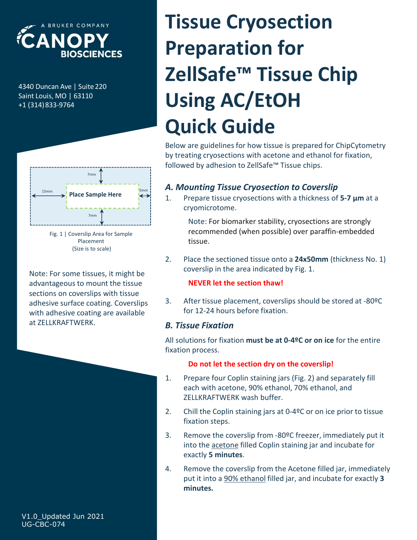

+1 (314)833-9764



Placement (Size is to scale)

Note: For some tissues, it might be advantageous to mount the tissue sections on coverslips with tissue<br>adhesive surface coating Coverslips 3. After tissue placement, coverslips should be stored at -80°C adhesive surface coating. Coverslips with adhesive coating are available at ZELLKRAFTWERK.

# ELA INDISCRIENCES<br>
BIOSCIENCES<br>
A NOPY<br>
BIOSCIENCES<br>
A NOPY<br>
ZellSafe<sup>TM</sup> Tissue<br>
ZellSafe<sup>TM</sup> Tissue<br>
Using AC/EtOH<br>
Quick Guide ECANOPY<br>
BIOSCIENCES<br>
BAAD DUNCAL PREPARTION TISS<br>
BAAD DUNCAL AND PREPARTION TISS<br>
SAINT LOUIS, MO | 63110<br>
HAAD DUSING AC/ETOI<br>
QUICK Guide **Preparation for<br>
ZellSafe™ Tissue Chip<br>
Using AC/EtOH<br>
Quick Guide<br>
Below are guidelines for how tissue is prepared for ChipCytometry<br>by treating cryosections with acetone and ethanol for fixation,<br>
followed by adhesion Quick Guide**<br>
Below are guidelines for how tissue is prepared for ChipCytometry<br>
by treating cryosections with acetone and ethanol for fixation,<br>
followed by adhesion to ZellSafe<sup>rm</sup> Tissue chips.<br> **A. Mounting Tissue Cry** Tissue Cryosection Preparation for ZellSafe™ Tissue Chip Using AC/EtOH Quick Guide

Below are guidelines for how tissue is prepared for ChipCytometry by treating cryosections with acetone and ethanol for fixation, followed by adhesion to ZellSafe™ Tissue chips. **Example 18. After the store of the store of the store of the statement of the store and ethanol for fixation,**<br> **3. A. Mounting Tissue Cryosection to Coverslip**<br> **3.** Prepare tissue cryosections with a thickness of 5-7

## A. Mounting Tissue Cryosection to Coverslip

cryomicrotome.  $\begin{bmatrix} 15\text{mm} \\ 15\text{mm} \end{bmatrix}$  Place Sample Here  $\begin{bmatrix} 5\text{mm} \\ 1 \end{bmatrix}$  1. Prepare tissue cryosections with a thickness of 5-7 µm at a

> Note: For biomarker stability, cryosections are strongly recommended (when possible) over paraffin-embedded tissue.

coverslip in the area indicated by Fig. 1.

#### NEVER let the section thaw!

for 12-24 hours before fixation.

#### B. Tissue Fixation

All solutions for fixation **must be at 0-4ºC or on ice** for the entire fixation process.

#### Do not let the section dry on the coverslip!

- cryomicrotome.<br>
Note: For biomarker stability, cryosections are strongly<br>
recommended (when possible) over paraffin-embedded<br>
tissue.<br>
2. Place the sectioned tissue onto a 24x50mm (thickness No. 1)<br>
coverslip in the area i each with acetone, 90% ethanol, 70% ethanol, and ZELLKRAFTWERK wash buffer.
- fixation steps.
- 2. Place the sectioned tissue onto a **24x50mm** (thickness No. 1)<br>
coverslip in the area indicated by Fig. 1.<br> **NEVER let the section thaw!**<br>
3. After tissue placement, coverslips should be stored at -80ºC<br>
for 12-24 hours coverslip in the area indicated by Fig. 1.<br> **NEVER let the section thaw!**<br>
3. After tissue placement, coverslips should be stored at -80°C<br>
for 12-24 hours before fixation.<br> **B. Tissue Fixation**<br> **B. Tissue Fixation**<br> **B.**
- **NEVER let the section thaw!**<br>After tissue placement, coverslips should be stored at -80ºC<br>for 12-24 hours before fixation.<br>**SSUE Fixation**<br>Ultions for fixation **must be at 0-4ºC or on ice** for the entire<br>on process.<br>**Do n** 3. After tissue placement, coverslips should be stored at -80°C<br>for 12-24 hours before fixation.<br>**B. Tissue Fixation**<br>All solutions for fixation must be at 0-4°C or on ice for the entire<br>fixation process.<br>**Do not let the** for 12-24 hours before fixation.<br> **SSUE Fixation**<br>
Utions for fixation must be at 0-4ºC or on ice for the entire<br>
Do not let the section dry on the coverslip!<br>
Prepare four Coplin staining jars (Fig. 2) and separately fil minutes.

V1.0\_Updated Jun 2021 UG-CBC-074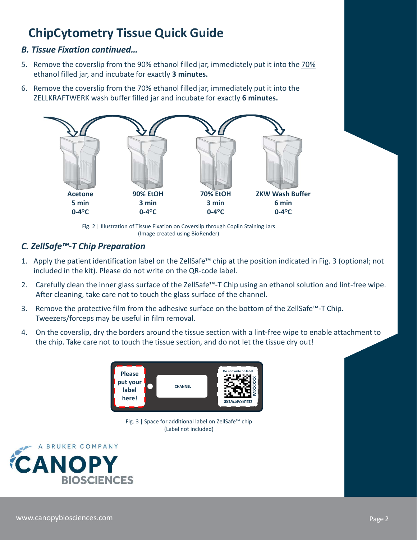# ChipCytometry Tissue Quick Guide

#### B. Tissue Fixation continued…

- **ChipCytometry Tissue Quick Guide**<br> **B. Tissue Fixation continued...**<br>
5. Remove the coverslip from the 90% ethanol filled jar, immediately put it into the <u>70%</u><br>
<u>ethanol</u> filled jar, and incubate for exactly **3 minutes. ChipCytometry Tissue Quick Guide**<br> **ChipCytometry Tissue Quick Guide**<br> **Example Fixation continued...**<br>
Remove the coverslip from the 70% ethanol filled jar, immediately put it into<br>
Remove the coverslip from the 70% etha
- ZELLKRAFTWERK wash buffer filled jar and incubate for exactly 6 minutes.



Fig. 2 | Illustration of Tissue Fixation on Coverslip through Coplin Staining Jars (Image created using BioRender)

### C. ZellSafe™-T Chip Preparation

- included in the kit). Please do not write on the QR-code label.
- After cleaning, take care not to touch the glass surface of the channel.
- Tweezers/forceps may be useful in film removal.
- the chip. Take care not to touch the tissue section, and do not let the tissue dry out!



Fig. 3 | Space for additional label on ZellSafe™ chip